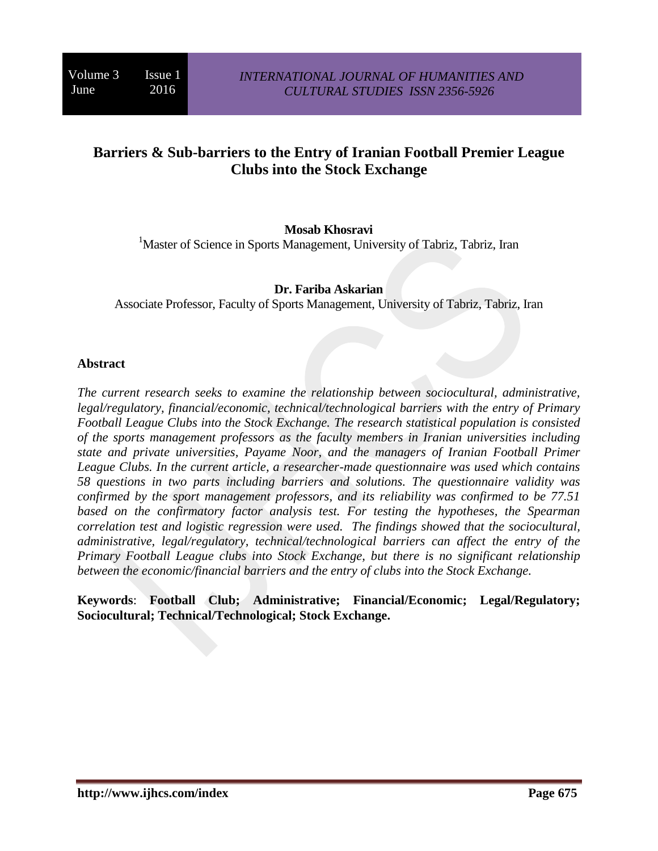# **Barriers & Sub-barriers to the Entry of Iranian Football Premier League Clubs into the Stock Exchange**

### **Mosab Khosravi**

<sup>1</sup>Master of Science in Sports Management, University of Tabriz, Tabriz, Iran

#### **Dr. Fariba Askarian**

Associate Professor, Faculty of Sports Management, University of Tabriz, Tabriz, Iran

#### **Abstract**

*The current research seeks to examine the relationship between sociocultural, administrative, legal/regulatory, financial/economic, technical/technological barriers with the entry of Primary Football League Clubs into the Stock Exchange. The research statistical population is consisted of the sports management professors as the faculty members in Iranian universities including state and private universities, Payame Noor, and the managers of Iranian Football Primer League Clubs. In the current article, a researcher-made questionnaire was used which contains 58 questions in two parts including barriers and solutions. The questionnaire validity was confirmed by the sport management professors, and its reliability was confirmed to be 77.51 based on the confirmatory factor analysis test. For testing the hypotheses, the Spearman correlation test and logistic regression were used. The findings showed that the sociocultural, administrative, legal/regulatory, technical/technological barriers can affect the entry of the Primary Football League clubs into Stock Exchange, but there is no significant relationship between the economic/financial barriers and the entry of clubs into the Stock Exchange.*

**Keywords**: **Football Club; Administrative; Financial/Economic; Legal/Regulatory; Sociocultural; Technical/Technological; Stock Exchange.**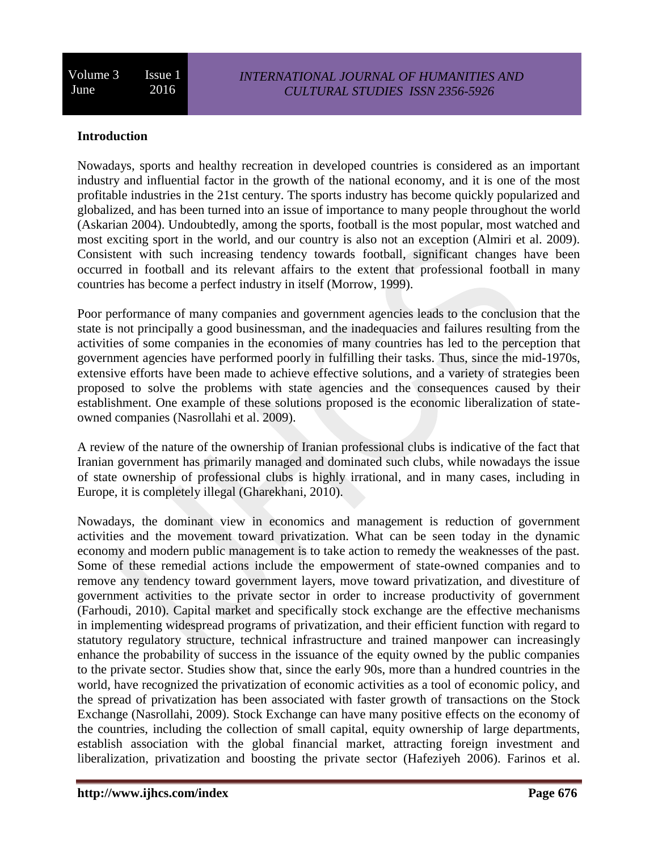### **Introduction**

Nowadays, sports and healthy recreation in developed countries is considered as an important industry and influential factor in the growth of the national economy, and it is one of the most profitable industries in the 21st century. The sports industry has become quickly popularized and globalized, and has been turned into an issue of importance to many people throughout the world (Askarian 2004). Undoubtedly, among the sports, football is the most popular, most watched and most exciting sport in the world, and our country is also not an exception (Almiri et al. 2009). Consistent with such increasing tendency towards football, significant changes have been occurred in football and its relevant affairs to the extent that professional football in many countries has become a perfect industry in itself (Morrow, 1999).

Poor performance of many companies and government agencies leads to the conclusion that the state is not principally a good businessman, and the inadequacies and failures resulting from the activities of some companies in the economies of many countries has led to the perception that government agencies have performed poorly in fulfilling their tasks. Thus, since the mid-1970s, extensive efforts have been made to achieve effective solutions, and a variety of strategies been proposed to solve the problems with state agencies and the consequences caused by their establishment. One example of these solutions proposed is the economic liberalization of stateowned companies (Nasrollahi et al. 2009).

A review of the nature of the ownership of Iranian professional clubs is indicative of the fact that Iranian government has primarily managed and dominated such clubs, while nowadays the issue of state ownership of professional clubs is highly irrational, and in many cases, including in Europe, it is completely illegal (Gharekhani, 2010).

Nowadays, the dominant view in economics and management is reduction of government activities and the movement toward privatization. What can be seen today in the dynamic economy and modern public management is to take action to remedy the weaknesses of the past. Some of these remedial actions include the empowerment of state-owned companies and to remove any tendency toward government layers, move toward privatization, and divestiture of government activities to the private sector in order to increase productivity of government (Farhoudi, 2010). Capital market and specifically stock exchange are the effective mechanisms in implementing widespread programs of privatization, and their efficient function with regard to statutory regulatory structure, technical infrastructure and trained manpower can increasingly enhance the probability of success in the issuance of the equity owned by the public companies to the private sector. Studies show that, since the early 90s, more than a hundred countries in the world, have recognized the privatization of economic activities as a tool of economic policy, and the spread of privatization has been associated with faster growth of transactions on the Stock Exchange (Nasrollahi, 2009). Stock Exchange can have many positive effects on the economy of the countries, including the collection of small capital, equity ownership of large departments, establish association with the global financial market, attracting foreign investment and liberalization, privatization and boosting the private sector (Hafeziyeh 2006). Farinos et al.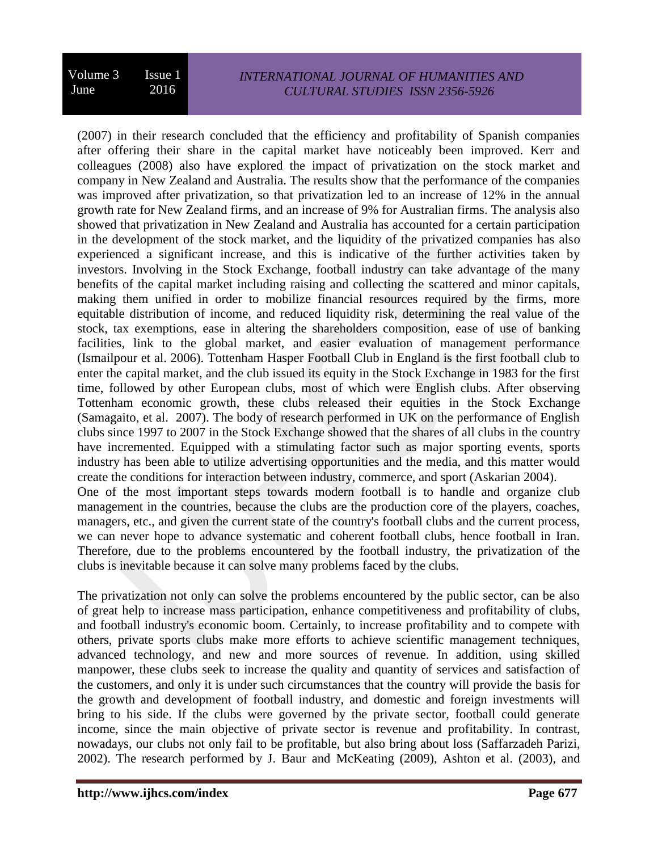(2007) in their research concluded that the efficiency and profitability of Spanish companies after offering their share in the capital market have noticeably been improved. Kerr and colleagues (2008) also have explored the impact of privatization on the stock market and company in New Zealand and Australia. The results show that the performance of the companies was improved after privatization, so that privatization led to an increase of 12% in the annual growth rate for New Zealand firms, and an increase of 9% for Australian firms. The analysis also showed that privatization in New Zealand and Australia has accounted for a certain participation in the development of the stock market, and the liquidity of the privatized companies has also experienced a significant increase, and this is indicative of the further activities taken by investors. Involving in the Stock Exchange, football industry can take advantage of the many benefits of the capital market including raising and collecting the scattered and minor capitals, making them unified in order to mobilize financial resources required by the firms, more equitable distribution of income, and reduced liquidity risk, determining the real value of the stock, tax exemptions, ease in altering the shareholders composition, ease of use of banking facilities, link to the global market, and easier evaluation of management performance (Ismailpour et al. 2006). Tottenham Hasper Football Club in England is the first football club to enter the capital market, and the club issued its equity in the Stock Exchange in 1983 for the first time, followed by other European clubs, most of which were English clubs. After observing Tottenham economic growth, these clubs released their equities in the Stock Exchange (Samagaito, et al. 2007). The body of research performed in UK on the performance of English clubs since 1997 to 2007 in the Stock Exchange showed that the shares of all clubs in the country have incremented. Equipped with a stimulating factor such as major sporting events, sports industry has been able to utilize advertising opportunities and the media, and this matter would create the conditions for interaction between industry, commerce, and sport (Askarian 2004). One of the most important steps towards modern football is to handle and organize club management in the countries, because the clubs are the production core of the players, coaches, managers, etc., and given the current state of the country's football clubs and the current process, we can never hope to advance systematic and coherent football clubs, hence football in Iran. Therefore, due to the problems encountered by the football industry, the privatization of the clubs is inevitable because it can solve many problems faced by the clubs.

The privatization not only can solve the problems encountered by the public sector, can be also of great help to increase mass participation, enhance competitiveness and profitability of clubs, and football industry's economic boom. Certainly, to increase profitability and to compete with others, private sports clubs make more efforts to achieve scientific management techniques, advanced technology, and new and more sources of revenue. In addition, using skilled manpower, these clubs seek to increase the quality and quantity of services and satisfaction of the customers, and only it is under such circumstances that the country will provide the basis for the growth and development of football industry, and domestic and foreign investments will bring to his side. If the clubs were governed by the private sector, football could generate income, since the main objective of private sector is revenue and profitability. In contrast, nowadays, our clubs not only fail to be profitable, but also bring about loss (Saffarzadeh Parizi, 2002). The research performed by J. Baur and McKeating (2009), Ashton et al. (2003), and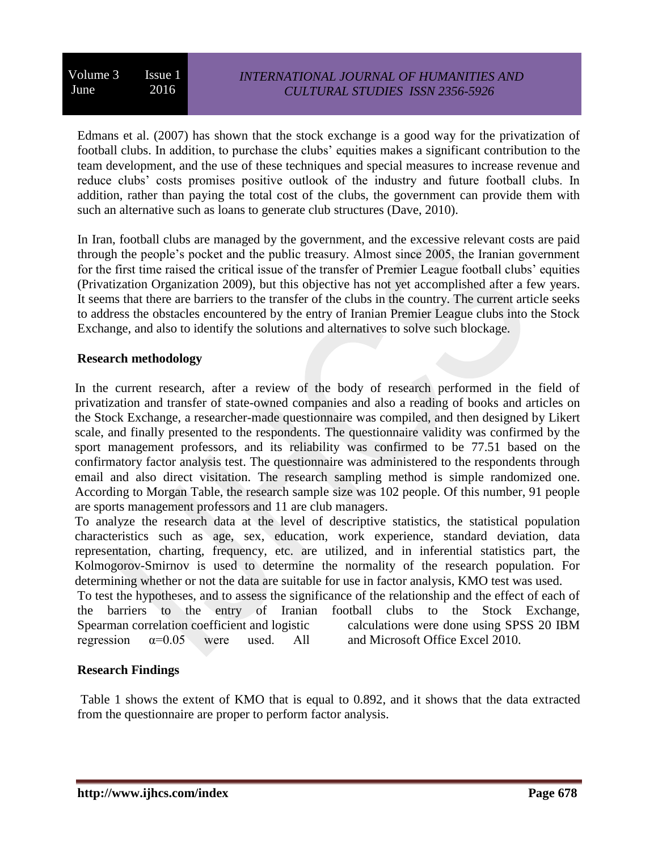## *INTERNATIONAL JOURNAL OF HUMANITIES AND CULTURAL STUDIES ISSN 2356-5926*

Edmans et al. (2007) has shown that the stock exchange is a good way for the privatization of football clubs. In addition, to purchase the clubs' equities makes a significant contribution to the team development, and the use of these techniques and special measures to increase revenue and reduce clubs' costs promises positive outlook of the industry and future football clubs. In addition, rather than paying the total cost of the clubs, the government can provide them with such an alternative such as loans to generate club structures (Dave, 2010).

In Iran, football clubs are managed by the government, and the excessive relevant costs are paid through the people's pocket and the public treasury. Almost since 2005, the Iranian government for the first time raised the critical issue of the transfer of Premier League football clubs' equities (Privatization Organization 2009), but this objective has not yet accomplished after a few years. It seems that there are barriers to the transfer of the clubs in the country. The current article seeks to address the obstacles encountered by the entry of Iranian Premier League clubs into the Stock Exchange, and also to identify the solutions and alternatives to solve such blockage.

#### **Research methodology**

In the current research, after a review of the body of research performed in the field of privatization and transfer of state-owned companies and also a reading of books and articles on the Stock Exchange, a researcher-made questionnaire was compiled, and then designed by Likert scale, and finally presented to the respondents. The questionnaire validity was confirmed by the sport management professors, and its reliability was confirmed to be 77.51 based on the confirmatory factor analysis test. The questionnaire was administered to the respondents through email and also direct visitation. The research sampling method is simple randomized one. According to Morgan Table, the research sample size was 102 people. Of this number, 91 people are sports management professors and 11 are club managers.

To analyze the research data at the level of descriptive statistics, the statistical population characteristics such as age, sex, education, work experience, standard deviation, data representation, charting, frequency, etc. are utilized, and in inferential statistics part, the Kolmogorov-Smirnov is used to determine the normality of the research population. For determining whether or not the data are suitable for use in factor analysis, KMO test was used.

To test the hypotheses, and to assess the significance of the relationship and the effect of each of the barriers to the entry of Iranian football clubs to the Stock Exchange, Spearman correlation coefficient and logistic regression  $\alpha=0.05$  were used. All calculations were done using SPSS 20 IBM and Microsoft Office Excel 2010.

#### **Research Findings**

Table 1 shows the extent of KMO that is equal to 0.892, and it shows that the data extracted from the questionnaire are proper to perform factor analysis.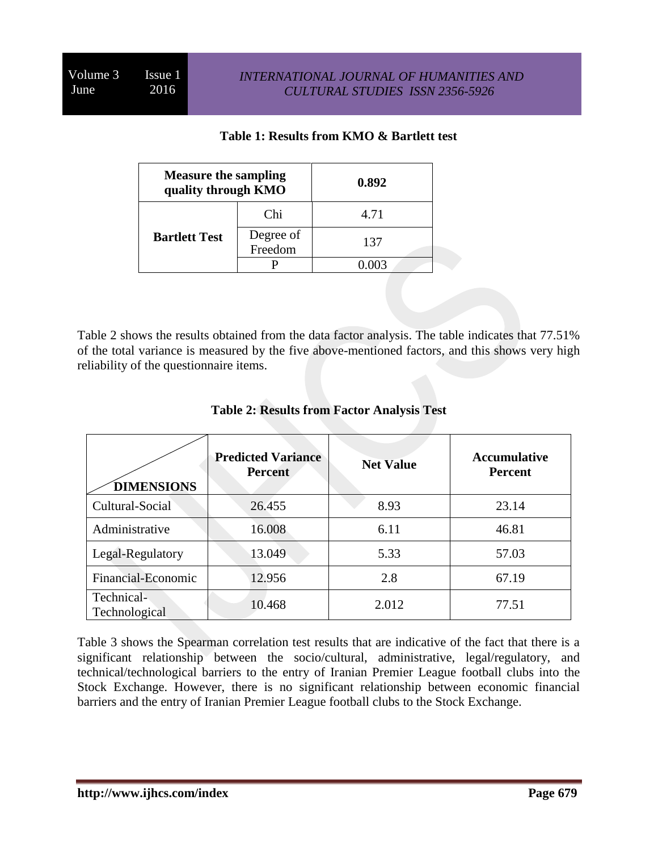## **Table 1: Results from KMO & Bartlett test**

| <b>Measure the sampling</b><br>quality through KMO |                      | 0.892 |
|----------------------------------------------------|----------------------|-------|
| <b>Bartlett Test</b>                               | Chi                  | 4.71  |
|                                                    | Degree of<br>Freedom | 137   |
|                                                    |                      | 0.003 |

Table 2 shows the results obtained from the data factor analysis. The table indicates that 77.51% of the total variance is measured by the five above-mentioned factors, and this shows very high reliability of the questionnaire items.

| <b>DIMENSIONS</b>           | <b>Predicted Variance</b><br><b>Percent</b> | <b>Net Value</b> | <b>Accumulative</b><br><b>Percent</b> |
|-----------------------------|---------------------------------------------|------------------|---------------------------------------|
| Cultural-Social<br>26.455   |                                             | 8.93             | 23.14                                 |
| Administrative<br>16.008    |                                             | 6.11             | 46.81                                 |
| Legal-Regulatory            | 13.049                                      | 5.33             | 57.03                                 |
| Financial-Economic          | 12.956                                      | 2.8              | 67.19                                 |
| Technical-<br>Technological | 10.468                                      | 2.012            | 77.51                                 |

## **Table 2: Results from Factor Analysis Test**

Table 3 shows the Spearman correlation test results that are indicative of the fact that there is a significant relationship between the socio/cultural, administrative, legal/regulatory, and technical/technological barriers to the entry of Iranian Premier League football clubs into the Stock Exchange. However, there is no significant relationship between economic financial barriers and the entry of Iranian Premier League football clubs to the Stock Exchange.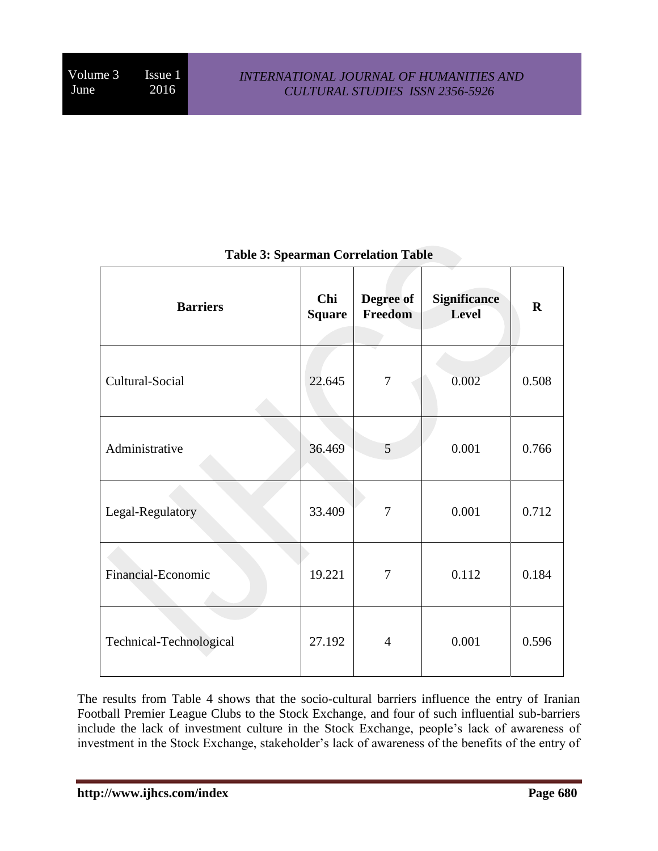| <b>Barriers</b>         | Chi<br><b>Square</b> | Degree of<br>Freedom | <b>Significance</b><br>Level | $\mathbf R$ |
|-------------------------|----------------------|----------------------|------------------------------|-------------|
| Cultural-Social         | 22.645               | $\boldsymbol{7}$     | 0.002                        | 0.508       |
| Administrative          | 36.469               | 5                    | 0.001                        | 0.766       |
| Legal-Regulatory        | 33.409               | 7                    | 0.001                        | 0.712       |
| Financial-Economic      | 19.221               | 7                    | 0.112                        | 0.184       |
| Technical-Technological | 27.192               | $\overline{4}$       | 0.001                        | 0.596       |

## **Table 3: Spearman Correlation Table**

The results from Table 4 shows that the socio-cultural barriers influence the entry of Iranian Football Premier League Clubs to the Stock Exchange, and four of such influential sub-barriers include the lack of investment culture in the Stock Exchange, people's lack of awareness of investment in the Stock Exchange, stakeholder's lack of awareness of the benefits of the entry of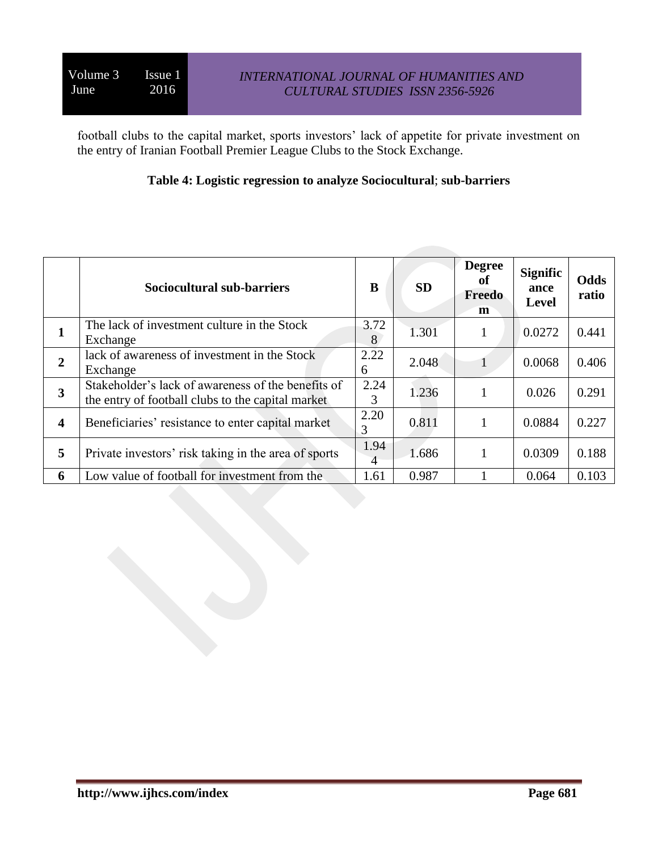football clubs to the capital market, sports investors' lack of appetite for private investment on the entry of Iranian Football Premier League Clubs to the Stock Exchange.

## **Table 4: Logistic regression to analyze Sociocultural**; **sub-barriers**

|                         | <b>Sociocultural sub-barriers</b>                                                                       | B         | <b>SD</b> | <b>Degree</b><br>of<br>Freedo<br>m | <b>Signific</b><br>ance<br><b>Level</b> | <b>Odds</b><br>ratio |
|-------------------------|---------------------------------------------------------------------------------------------------------|-----------|-----------|------------------------------------|-----------------------------------------|----------------------|
| л                       | The lack of investment culture in the Stock<br>Exchange                                                 | 3.72<br>8 | 1.301     |                                    | 0.0272                                  | 0.441                |
| $\overline{2}$          | lack of awareness of investment in the Stock<br>Exchange                                                | 2.22<br>6 | 2.048     |                                    | 0.0068                                  | 0.406                |
| 3                       | Stakeholder's lack of awareness of the benefits of<br>the entry of football clubs to the capital market | 2.24<br>3 | 1.236     |                                    | 0.026                                   | 0.291                |
| $\overline{\mathbf{4}}$ | Beneficiaries' resistance to enter capital market                                                       | 2.20<br>3 | 0.811     |                                    | 0.0884                                  | 0.227                |
| 5                       | Private investors' risk taking in the area of sports                                                    | 1.94<br>4 | 1.686     |                                    | 0.0309                                  | 0.188                |
| 6                       | Low value of football for investment from the                                                           | 1.61      | 0.987     |                                    | 0.064                                   | 0.103                |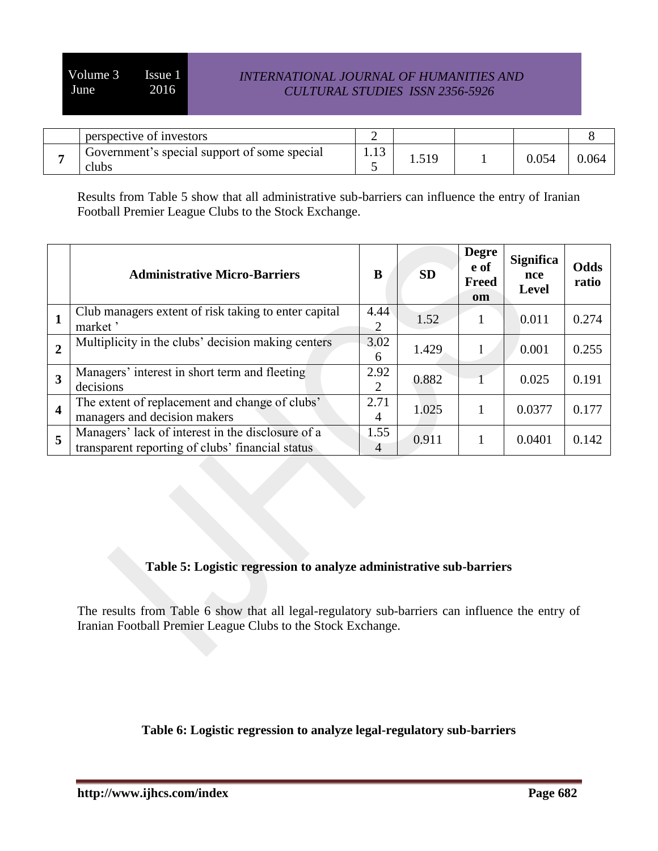| perspective of investors                              |      |      |       |       |
|-------------------------------------------------------|------|------|-------|-------|
| Government's special support of some special<br>clubs | 1.13 | 1.71 | 0.054 | 0.064 |

Results from Table 5 show that all administrative sub-barriers can influence the entry of Iranian Football Premier League Clubs to the Stock Exchange.

|                         | <b>Administrative Micro-Barriers</b>                                                                  | B                      | <b>SD</b> | Degre<br>e of<br><b>Freed</b><br><b>om</b> | <b>Significa</b><br>nce<br><b>Level</b> | Odds<br>ratio |
|-------------------------|-------------------------------------------------------------------------------------------------------|------------------------|-----------|--------------------------------------------|-----------------------------------------|---------------|
| 1                       | Club managers extent of risk taking to enter capital<br>market '                                      | 4.44<br>2              | 1.52      |                                            | 0.011                                   | 0.274         |
| $\overline{2}$          | Multiplicity in the clubs' decision making centers                                                    | 3.02<br>6              | 1.429     |                                            | 0.001                                   | 0.255         |
| $\overline{\mathbf{3}}$ | Managers' interest in short term and fleeting<br>decisions                                            | 2.92<br>2              | 0.882     |                                            | 0.025                                   | 0.191         |
| $\overline{\mathbf{4}}$ | The extent of replacement and change of clubs'<br>managers and decision makers                        | 2.71<br>4              | 1.025     |                                            | 0.0377                                  | 0.177         |
| 5                       | Managers' lack of interest in the disclosure of a<br>transparent reporting of clubs' financial status | 1.55<br>$\overline{4}$ | 0.911     |                                            | 0.0401                                  | 0.142         |

## **Table 5: Logistic regression to analyze administrative sub-barriers**

The results from Table 6 show that all legal-regulatory sub-barriers can influence the entry of Iranian Football Premier League Clubs to the Stock Exchange.

**Table 6: Logistic regression to analyze legal-regulatory sub-barriers**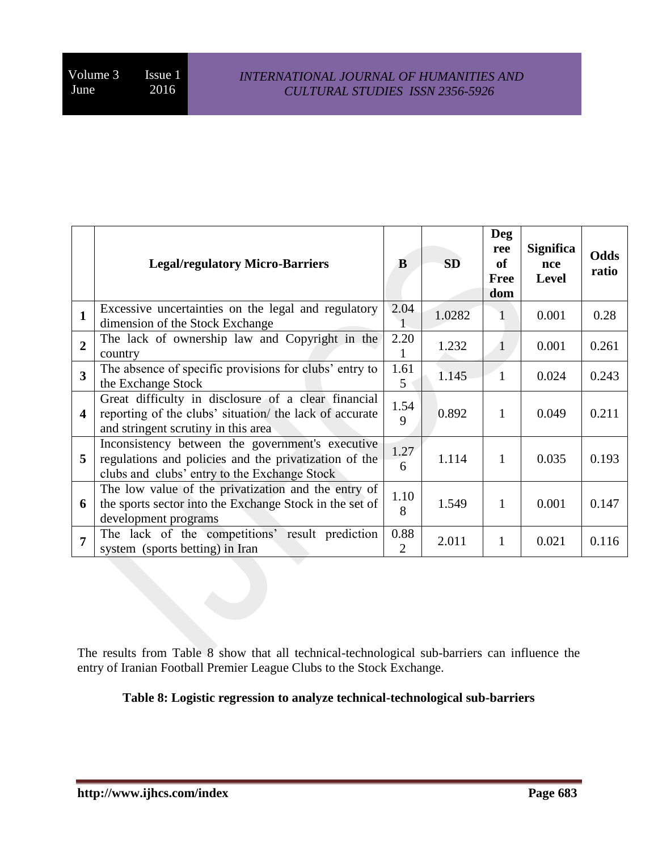|                         | <b>Legal/regulatory Micro-Barriers</b>                                                                                                                    | B                      | SD     | <b>Deg</b><br>ree<br>of<br><b>Free</b><br>dom | <b>Significa</b><br>nce<br><b>Level</b> | Odds<br>ratio |
|-------------------------|-----------------------------------------------------------------------------------------------------------------------------------------------------------|------------------------|--------|-----------------------------------------------|-----------------------------------------|---------------|
| $\mathbf{1}$            | Excessive uncertainties on the legal and regulatory<br>dimension of the Stock Exchange                                                                    | 2.04                   | 1.0282 | 1                                             | 0.001                                   | 0.28          |
| $\overline{2}$          | The lack of ownership law and Copyright in the<br>country                                                                                                 | 2.20                   | 1.232  | 1                                             | 0.001                                   | 0.261         |
| 3                       | The absence of specific provisions for clubs' entry to<br>the Exchange Stock                                                                              | 1.61<br>5              | 1.145  | 1                                             | 0.024                                   | 0.243         |
| $\overline{\mathbf{4}}$ | Great difficulty in disclosure of a clear financial<br>reporting of the clubs' situation/ the lack of accurate<br>and stringent scrutiny in this area     | 1.54<br>9              | 0.892  | 1                                             | 0.049                                   | 0.211         |
| 5                       | Inconsistency between the government's executive<br>regulations and policies and the privatization of the<br>clubs and clubs' entry to the Exchange Stock | 1.27<br>6              | 1.114  | 1                                             | 0.035                                   | 0.193         |
| 6                       | The low value of the privatization and the entry of<br>the sports sector into the Exchange Stock in the set of<br>development programs                    | 1.10<br>8              | 1.549  | 1                                             | 0.001                                   | 0.147         |
| 7                       | The lack of the competitions' result prediction<br>system (sports betting) in Iran                                                                        | 0.88<br>$\overline{2}$ | 2.011  | 1                                             | 0.021                                   | 0.116         |

The results from Table 8 show that all technical-technological sub-barriers can influence the entry of Iranian Football Premier League Clubs to the Stock Exchange.

**Table 8: Logistic regression to analyze technical-technological sub-barriers**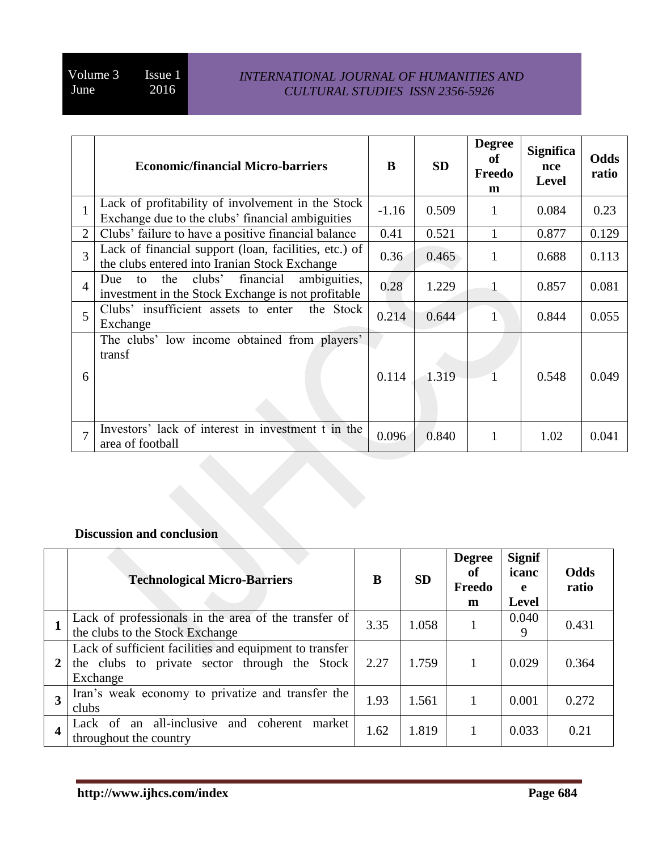|                | <b>Economic/financial Micro-barriers</b>                                                                      | B       | <b>SD</b> | <b>Degree</b><br>of<br>Freedo<br>m | <b>Significa</b><br>nce<br><b>Level</b> | Odds<br>ratio |
|----------------|---------------------------------------------------------------------------------------------------------------|---------|-----------|------------------------------------|-----------------------------------------|---------------|
| $\mathbf{1}$   | Lack of profitability of involvement in the Stock<br>Exchange due to the clubs' financial ambiguities         | $-1.16$ | 0.509     | 1                                  | 0.084                                   | 0.23          |
| $\overline{2}$ | Clubs' failure to have a positive financial balance                                                           | 0.41    | 0.521     |                                    | 0.877                                   | 0.129         |
| 3              | Lack of financial support (loan, facilities, etc.) of<br>the clubs entered into Iranian Stock Exchange        | 0.36    | 0.465     | 1                                  | 0.688                                   | 0.113         |
| $\overline{4}$ | ambiguities,<br>clubs'<br>financial<br>the<br>to<br>Due<br>investment in the Stock Exchange is not profitable | 0.28    | 1.229     |                                    | 0.857                                   | 0.081         |
| 5              | Clubs' insufficient assets to enter<br>the Stock<br>Exchange                                                  | 0.214   | 0.644     |                                    | 0.844                                   | 0.055         |
| 6              | The clubs' low income obtained from players'<br>transf                                                        | 0.114   | 1.319     |                                    | 0.548                                   | 0.049         |
| $\tau$         | Investors' lack of interest in investment t in the<br>area of football                                        | 0.096   | 0.840     |                                    | 1.02                                    | 0.041         |

## **Discussion and conclusion**

|                         | <b>Technological Micro-Barriers</b>                                                                                  | B    | <b>SD</b> | <b>Degree</b><br>of<br>Freedo<br>m | <b>Signif</b><br>icanc<br>e<br>Level | Odds<br>ratio |
|-------------------------|----------------------------------------------------------------------------------------------------------------------|------|-----------|------------------------------------|--------------------------------------|---------------|
|                         | Lack of professionals in the area of the transfer of<br>the clubs to the Stock Exchange                              | 3.35 | 1.058     |                                    | 0.040<br>9                           | 0.431         |
|                         | Lack of sufficient facilities and equipment to transfer<br>the clubs to private sector through the Stock<br>Exchange | 2.27 | 1.759     |                                    | 0.029                                | 0.364         |
| $\overline{3}$          | Iran's weak economy to privatize and transfer the<br>clubs                                                           | 1.93 | 1.561     |                                    | 0.001                                | 0.272         |
| $\overline{\mathbf{4}}$ | Lack of an all-inclusive<br>and coherent<br>market<br>throughout the country                                         | 1.62 | 1.819     |                                    | 0.033                                | 0.21          |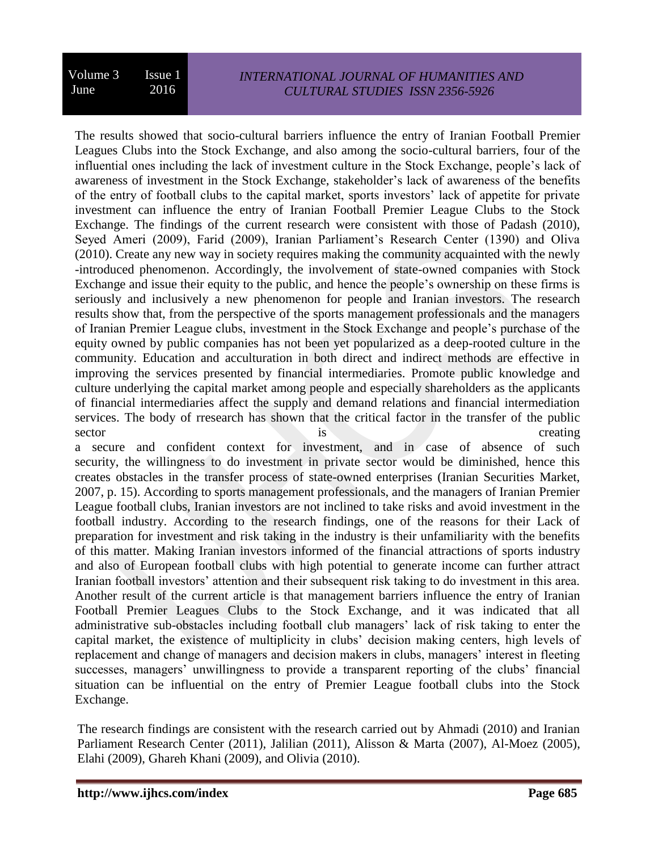The results showed that socio-cultural barriers influence the entry of Iranian Football Premier Leagues Clubs into the Stock Exchange, and also among the socio-cultural barriers, four of the influential ones including the lack of investment culture in the Stock Exchange, people's lack of awareness of investment in the Stock Exchange, stakeholder's lack of awareness of the benefits of the entry of football clubs to the capital market, sports investors' lack of appetite for private investment can influence the entry of Iranian Football Premier League Clubs to the Stock Exchange. The findings of the current research were consistent with those of Padash (2010), Seyed Ameri (2009), Farid (2009), Iranian Parliament's Research Center (1390) and Oliva (2010). Create any new way in society requires making the community acquainted with the newly -introduced phenomenon. Accordingly, the involvement of state-owned companies with Stock Exchange and issue their equity to the public, and hence the people's ownership on these firms is seriously and inclusively a new phenomenon for people and Iranian investors. The research results show that, from the perspective of the sports management professionals and the managers of Iranian Premier League clubs, investment in the Stock Exchange and people's purchase of the equity owned by public companies has not been yet popularized as a deep-rooted culture in the community. Education and acculturation in both direct and indirect methods are effective in improving the services presented by financial intermediaries. Promote public knowledge and culture underlying the capital market among people and especially shareholders as the applicants of financial intermediaries affect the supply and demand relations and financial intermediation services. The body of rresearch has shown that the critical factor in the transfer of the public sector is creating  $\alpha$ 

a secure and confident context for investment, and in case of absence of such security, the willingness to do investment in private sector would be diminished, hence this creates obstacles in the transfer process of state-owned enterprises (Iranian Securities Market, 2007, p. 15). According to sports management professionals, and the managers of Iranian Premier League football clubs, Iranian investors are not inclined to take risks and avoid investment in the football industry. According to the research findings, one of the reasons for their Lack of preparation for investment and risk taking in the industry is their unfamiliarity with the benefits of this matter. Making Iranian investors informed of the financial attractions of sports industry and also of European football clubs with high potential to generate income can further attract Iranian football investors' attention and their subsequent risk taking to do investment in this area. Another result of the current article is that management barriers influence the entry of Iranian Football Premier Leagues Clubs to the Stock Exchange, and it was indicated that all administrative sub-obstacles including football club managers' lack of risk taking to enter the capital market, the existence of multiplicity in clubs' decision making centers, high levels of replacement and change of managers and decision makers in clubs, managers' interest in fleeting successes, managers' unwillingness to provide a transparent reporting of the clubs' financial situation can be influential on the entry of Premier League football clubs into the Stock Exchange.

The research findings are consistent with the research carried out by Ahmadi (2010) and Iranian Parliament Research Center (2011), Jalilian (2011), Alisson & Marta (2007), Al-Moez (2005), Elahi (2009), Ghareh Khani (2009), and Olivia (2010).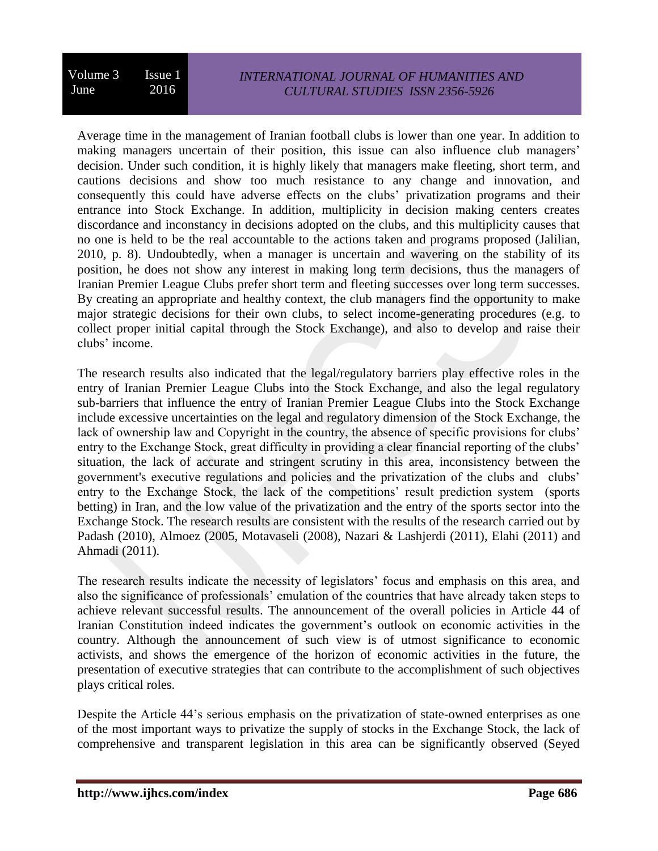Average time in the management of Iranian football clubs is lower than one year. In addition to making managers uncertain of their position, this issue can also influence club managers' decision. Under such condition, it is highly likely that managers make fleeting, short term, and cautions decisions and show too much resistance to any change and innovation, and consequently this could have adverse effects on the clubs' privatization programs and their entrance into Stock Exchange. In addition, multiplicity in decision making centers creates discordance and inconstancy in decisions adopted on the clubs, and this multiplicity causes that no one is held to be the real accountable to the actions taken and programs proposed (Jalilian, 2010, p. 8). Undoubtedly, when a manager is uncertain and wavering on the stability of its position, he does not show any interest in making long term decisions, thus the managers of Iranian Premier League Clubs prefer short term and fleeting successes over long term successes. By creating an appropriate and healthy context, the club managers find the opportunity to make major strategic decisions for their own clubs, to select income-generating procedures (e.g. to collect proper initial capital through the Stock Exchange), and also to develop and raise their clubs' income.

The research results also indicated that the legal/regulatory barriers play effective roles in the entry of Iranian Premier League Clubs into the Stock Exchange, and also the legal regulatory sub-barriers that influence the entry of Iranian Premier League Clubs into the Stock Exchange include excessive uncertainties on the legal and regulatory dimension of the Stock Exchange, the lack of ownership law and Copyright in the country, the absence of specific provisions for clubs' entry to the Exchange Stock, great difficulty in providing a clear financial reporting of the clubs' situation, the lack of accurate and stringent scrutiny in this area, inconsistency between the government's executive regulations and policies and the privatization of the clubs and clubs' entry to the Exchange Stock, the lack of the competitions' result prediction system (sports betting) in Iran, and the low value of the privatization and the entry of the sports sector into the Exchange Stock. The research results are consistent with the results of the research carried out by Padash (2010), Almoez (2005, Motavaseli (2008), Nazari & Lashjerdi (2011), Elahi (2011) and Ahmadi (2011).

The research results indicate the necessity of legislators' focus and emphasis on this area, and also the significance of professionals' emulation of the countries that have already taken steps to achieve relevant successful results. The announcement of the overall policies in Article 44 of Iranian Constitution indeed indicates the government's outlook on economic activities in the country. Although the announcement of such view is of utmost significance to economic activists, and shows the emergence of the horizon of economic activities in the future, the presentation of executive strategies that can contribute to the accomplishment of such objectives plays critical roles.

Despite the Article 44's serious emphasis on the privatization of state-owned enterprises as one of the most important ways to privatize the supply of stocks in the Exchange Stock, the lack of comprehensive and transparent legislation in this area can be significantly observed (Seyed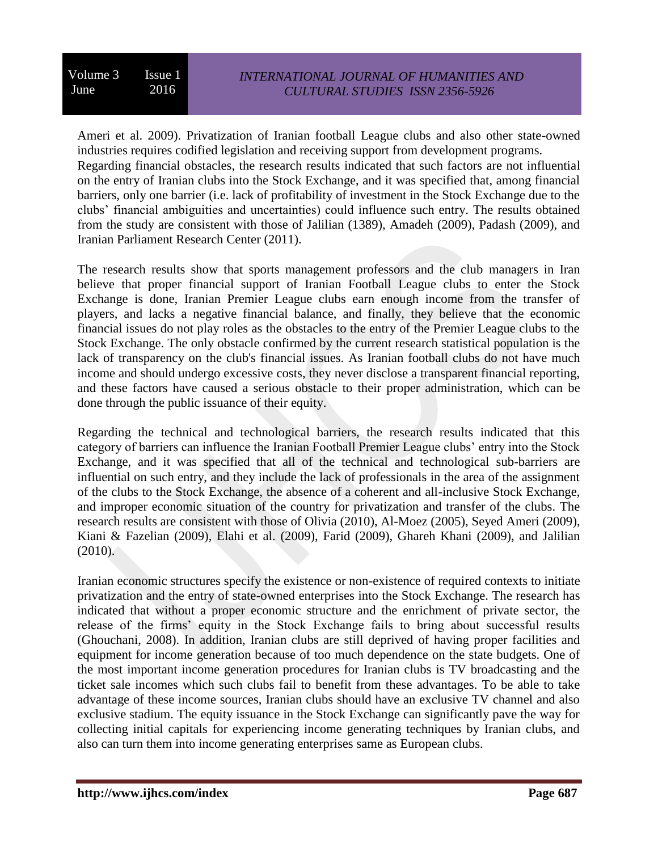Ameri et al. 2009). Privatization of Iranian football League clubs and also other state-owned industries requires codified legislation and receiving support from development programs. Regarding financial obstacles, the research results indicated that such factors are not influential on the entry of Iranian clubs into the Stock Exchange, and it was specified that, among financial barriers, only one barrier (i.e. lack of profitability of investment in the Stock Exchange due to the clubs' financial ambiguities and uncertainties) could influence such entry. The results obtained from the study are consistent with those of Jalilian (1389), Amadeh (2009), Padash (2009), and Iranian Parliament Research Center (2011).

The research results show that sports management professors and the club managers in Iran believe that proper financial support of Iranian Football League clubs to enter the Stock Exchange is done, Iranian Premier League clubs earn enough income from the transfer of players, and lacks a negative financial balance, and finally, they believe that the economic financial issues do not play roles as the obstacles to the entry of the Premier League clubs to the Stock Exchange. The only obstacle confirmed by the current research statistical population is the lack of transparency on the club's financial issues. As Iranian football clubs do not have much income and should undergo excessive costs, they never disclose a transparent financial reporting, and these factors have caused a serious obstacle to their proper administration, which can be done through the public issuance of their equity.

Regarding the technical and technological barriers, the research results indicated that this category of barriers can influence the Iranian Football Premier League clubs' entry into the Stock Exchange, and it was specified that all of the technical and technological sub-barriers are influential on such entry, and they include the lack of professionals in the area of the assignment of the clubs to the Stock Exchange, the absence of a coherent and all-inclusive Stock Exchange, and improper economic situation of the country for privatization and transfer of the clubs. The research results are consistent with those of Olivia (2010), Al-Moez (2005), Seyed Ameri (2009), Kiani & Fazelian (2009), Elahi et al. (2009), Farid (2009), Ghareh Khani (2009), and Jalilian (2010).

Iranian economic structures specify the existence or non-existence of required contexts to initiate privatization and the entry of state-owned enterprises into the Stock Exchange. The research has indicated that without a proper economic structure and the enrichment of private sector, the release of the firms' equity in the Stock Exchange fails to bring about successful results (Ghouchani, 2008). In addition, Iranian clubs are still deprived of having proper facilities and equipment for income generation because of too much dependence on the state budgets. One of the most important income generation procedures for Iranian clubs is TV broadcasting and the ticket sale incomes which such clubs fail to benefit from these advantages. To be able to take advantage of these income sources, Iranian clubs should have an exclusive TV channel and also exclusive stadium. The equity issuance in the Stock Exchange can significantly pave the way for collecting initial capitals for experiencing income generating techniques by Iranian clubs, and also can turn them into income generating enterprises same as European clubs.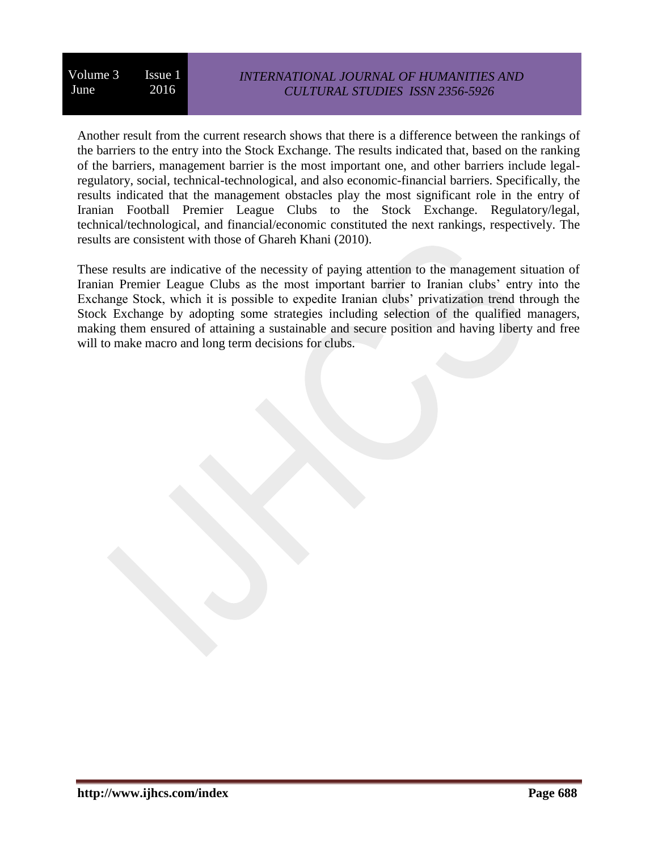## *INTERNATIONAL JOURNAL OF HUMANITIES AND CULTURAL STUDIES ISSN 2356-5926*

Another result from the current research shows that there is a difference between the rankings of the barriers to the entry into the Stock Exchange. The results indicated that, based on the ranking of the barriers, management barrier is the most important one, and other barriers include legalregulatory, social, technical-technological, and also economic-financial barriers. Specifically, the results indicated that the management obstacles play the most significant role in the entry of Iranian Football Premier League Clubs to the Stock Exchange. Regulatory/legal, technical/technological, and financial/economic constituted the next rankings, respectively. The results are consistent with those of Ghareh Khani (2010).

These results are indicative of the necessity of paying attention to the management situation of Iranian Premier League Clubs as the most important barrier to Iranian clubs' entry into the Exchange Stock, which it is possible to expedite Iranian clubs' privatization trend through the Stock Exchange by adopting some strategies including selection of the qualified managers, making them ensured of attaining a sustainable and secure position and having liberty and free will to make macro and long term decisions for clubs.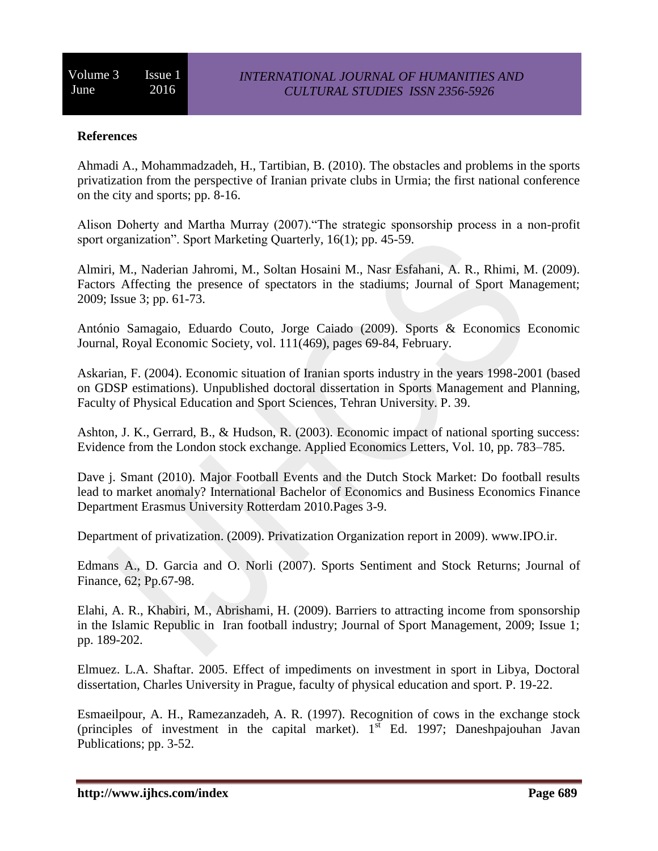### **References**

Ahmadi A., Mohammadzadeh, H., Tartibian, B. (2010). The obstacles and problems in the sports privatization from the perspective of Iranian private clubs in Urmia; the first national conference on the city and sports; pp. 8-16.

Alison Doherty and Martha Murray (2007)."The strategic sponsorship process in a non-profit sport organization". Sport Marketing Quarterly, 16(1); pp. 45-59.

Almiri, M., Naderian Jahromi, M., Soltan Hosaini M., Nasr Esfahani, A. R., Rhimi, M. (2009). Factors Affecting the presence of spectators in the stadiums; Journal of Sport Management; 2009; Issue 3; pp. 61-73.

António Samagaio, Eduardo Couto, Jorge Caiado (2009). Sports & Economics Economic Journal, Royal Economic Society, vol. 111(469), pages 69-84, February.

Askarian, F. (2004). Economic situation of Iranian sports industry in the years 1998-2001 (based on GDSP estimations). Unpublished doctoral dissertation in Sports Management and Planning, Faculty of Physical Education and Sport Sciences, Tehran University. P. 39.

Ashton, J. K., Gerrard, B., & Hudson, R. (2003). Economic impact of national sporting success: Evidence from the London stock exchange. Applied Economics Letters, Vol. 10, pp. 783–785.

Dave j. Smant (2010). Major Football Events and the Dutch Stock Market: Do football results lead to market anomaly? International Bachelor of Economics and Business Economics Finance Department Erasmus University Rotterdam 2010.Pages 3-9.

Department of privatization. (2009). Privatization Organization report in 2009). [www.IPO.ir.](http://www.ipo.ir/)

Edmans A., D. Garcia and O. Norli (2007). Sports Sentiment and Stock Returns; Journal of Finance, 62; Pp.67-98.

Elahi, A. R., Khabiri, M., Abrishami, H. (2009). Barriers to attracting income from sponsorship in the Islamic Republic in Iran football industry; Journal of Sport Management, 2009; Issue 1; pp. 189-202.

Elmuez. L.A. Shaftar. 2005. Effect of impediments on investment in sport in Libya, Doctoral dissertation, Charles University in Prague, faculty of physical education and sport. P. 19-22.

Esmaeilpour, A. H., Ramezanzadeh, A. R. (1997). Recognition of cows in the exchange stock (principles of investment in the capital market).  $1<sup>st</sup>$  Ed. 1997; Daneshpajouhan Javan Publications; pp. 3-52.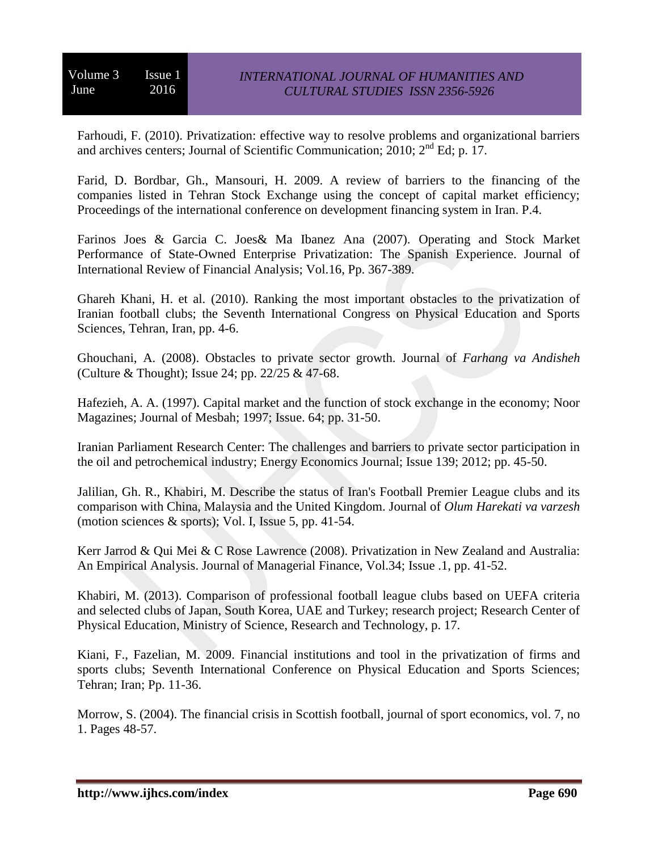Farhoudi, F. (2010). Privatization: effective way to resolve problems and organizational barriers and archives centers; Journal of Scientific Communication;  $2010$ ;  $2<sup>nd</sup> Ed$ ; p. 17.

Farid, D. Bordbar, Gh., Mansouri, H. 2009. A review of barriers to the financing of the companies listed in Tehran Stock Exchange using the concept of capital market efficiency; Proceedings of the international conference on development financing system in Iran. P.4.

Farinos Joes & Garcia C. Joes& Ma Ibanez Ana (2007). Operating and Stock Market Performance of State-Owned Enterprise Privatization: The Spanish Experience. Journal of International Review of Financial Analysis; Vol.16, Pp. 367-389.

Ghareh Khani, H. et al. (2010). Ranking the most important obstacles to the privatization of Iranian football clubs; the Seventh International Congress on Physical Education and Sports Sciences, Tehran, Iran, pp. 4-6.

Ghouchani, A. (2008). Obstacles to private sector growth. Journal of *Farhang va Andisheh* (Culture & Thought); Issue 24; pp. 22/25 & 47-68.

Hafezieh, A. A. (1997). Capital market and the function of stock exchange in the economy; Noor Magazines; Journal of Mesbah; 1997; Issue. 64; pp. 31-50.

Iranian Parliament Research Center: The challenges and barriers to private sector participation in the oil and petrochemical industry; Energy Economics Journal; Issue 139; 2012; pp. 45-50.

Jalilian, Gh. R., Khabiri, M. Describe the status of Iran's Football Premier League clubs and its comparison with China, Malaysia and the United Kingdom. Journal of *Olum Harekati va varzesh* (motion sciences  $&$  sports); Vol. I, Issue 5, pp. 41-54.

Kerr Jarrod & Qui Mei & C Rose Lawrence (2008). Privatization in New Zealand and Australia: An Empirical Analysis. Journal of Managerial Finance, Vol.34; Issue .1, pp. 41-52.

Khabiri, M. (2013). Comparison of professional football league clubs based on UEFA criteria and selected clubs of Japan, South Korea, UAE and Turkey; research project; Research Center of Physical Education, Ministry of Science, Research and Technology, p. 17.

Kiani, F., Fazelian, M. 2009. Financial institutions and tool in the privatization of firms and sports clubs; Seventh International Conference on Physical Education and Sports Sciences; Tehran; Iran; Pp. 11-36.

Morrow, S. (2004). The financial crisis in Scottish football, journal of sport economics, vol. 7, no 1. Pages 48-57.